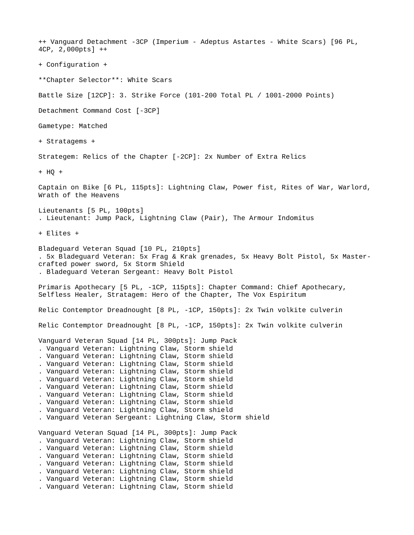++ Vanguard Detachment -3CP (Imperium - Adeptus Astartes - White Scars) [96 PL, 4CP, 2,000pts] ++ + Configuration + \*\*Chapter Selector\*\*: White Scars Battle Size [12CP]: 3. Strike Force (101-200 Total PL / 1001-2000 Points) Detachment Command Cost [-3CP] Gametype: Matched + Stratagems + Strategem: Relics of the Chapter [-2CP]: 2x Number of Extra Relics + HQ + Captain on Bike [6 PL, 115pts]: Lightning Claw, Power fist, Rites of War, Warlord, Wrath of the Heavens Lieutenants [5 PL, 100pts] . Lieutenant: Jump Pack, Lightning Claw (Pair), The Armour Indomitus + Elites + Bladeguard Veteran Squad [10 PL, 210pts] . 5x Bladeguard Veteran: 5x Frag & Krak grenades, 5x Heavy Bolt Pistol, 5x Mastercrafted power sword, 5x Storm Shield . Bladeguard Veteran Sergeant: Heavy Bolt Pistol Primaris Apothecary [5 PL, -1CP, 115pts]: Chapter Command: Chief Apothecary, Selfless Healer, Stratagem: Hero of the Chapter, The Vox Espiritum Relic Contemptor Dreadnought [8 PL, -1CP, 150pts]: 2x Twin volkite culverin Relic Contemptor Dreadnought [8 PL, -1CP, 150pts]: 2x Twin volkite culverin Vanguard Veteran Squad [14 PL, 300pts]: Jump Pack . Vanguard Veteran: Lightning Claw, Storm shield . Vanguard Veteran: Lightning Claw, Storm shield . Vanguard Veteran: Lightning Claw, Storm shield . Vanguard Veteran: Lightning Claw, Storm shield . Vanguard Veteran: Lightning Claw, Storm shield . Vanguard Veteran: Lightning Claw, Storm shield . Vanguard Veteran: Lightning Claw, Storm shield . Vanguard Veteran: Lightning Claw, Storm shield . Vanguard Veteran: Lightning Claw, Storm shield . Vanguard Veteran Sergeant: Lightning Claw, Storm shield Vanguard Veteran Squad [14 PL, 300pts]: Jump Pack . Vanguard Veteran: Lightning Claw, Storm shield . Vanguard Veteran: Lightning Claw, Storm shield . Vanguard Veteran: Lightning Claw, Storm shield . Vanguard Veteran: Lightning Claw, Storm shield . Vanguard Veteran: Lightning Claw, Storm shield . Vanguard Veteran: Lightning Claw, Storm shield . Vanguard Veteran: Lightning Claw, Storm shield